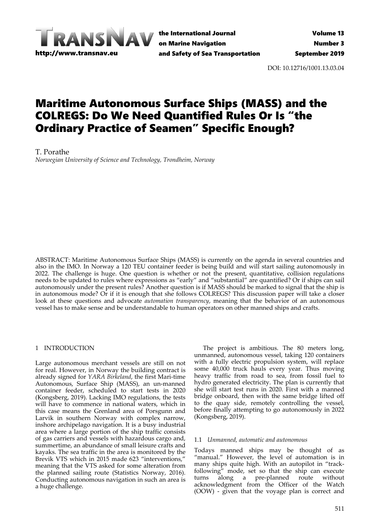

the International Journal on Marine Navigation and Safety of Sea Transportation

DOI: 10.12716/1001.13.03.04

# Maritime Autonomous Surface Ships (MASS) and the COLREGS: Do We Need Quantified Rules Or Is "the Ordinary Practice of Seamen" Specific Enough?

T. Porathe

*Norwegian University of Science and Technology, Trondheim, Norway*

ABSTRACT: Maritime Autonomous Surface Ships (MASS) is currently on the agenda in several countries and also in the IMO. In Norway a 120 TEU container feeder is being build and will start sailing autonomously in 2022. The challenge is huge. One question is whether or not the present, quantitative, collision regulations needs to be updated to rules where expressions as "early" and "substantial" are quantified? Or if ships can sail autonomously under the present rules? Another question is if MASS should be marked to signal that the ship is in autonomous mode? Or if it is enough that she follows COLREGS? This discussion paper will take a closer look at these questions and advocate *automation transparency*, meaning that the behavior of an autonomous vessel has to make sense and be understandable to human operators on other manned ships and crafts.

## 1 INTRODUCTION

Large autonomous merchant vessels are still on not for real. However, in Norway the building contract is already signed for *YARA Birkeland*, the first Mari‐time Autonomous, Surface Ship (MASS), an un‐manned container feeder, scheduled to start tests in 2020 (Kongsberg, 2019). Lacking IMO regulations, the tests will have to commence in national waters, which in this case means the Grenland area of Porsgunn and Larvik in southern Norway with complex narrow, inshore archipelago navigation. It is a busy industrial area where a large portion of the ship traffic consists of gas carriers and vessels with hazardous cargo and, summertime, an abundance of small leisure crafts and kayaks. The sea traffic in the area is monitored by the Brevik VTS which in 2015 made 623 "interventions," meaning that the VTS asked for some alteration from the planned sailing route (Statistics Norway, 2016). Conducting autonomous navigation in such an area is a huge challenge.

The project is ambitious. The 80 meters long, unmanned, autonomous vessel, taking 120 containers with a fully electric propulsion system, will replace some 40,000 truck hauls every year. Thus moving heavy traffic from road to sea, from fossil fuel to hydro generated electricity. The plan is currently that she will start test runs in 2020. First with a manned bridge onboard, then with the same bridge lifted off to the quay side, remotely controlling the vessel, before finally attempting to go autonomously in 2022 (Kongsberg, 2019).

## 1.1 *Unmanned, automatic and autonomous*

Todays manned ships may be thought of as "manual." However, the level of automation is in many ships quite high. With an autopilot in "track‐ following" mode, set so that the ship can execute<br>turns along a pre-planned route without turns along a pre‐planned route without acknowledgment from the Officer of the Watch (OOW) ‐ given that the voyage plan is correct and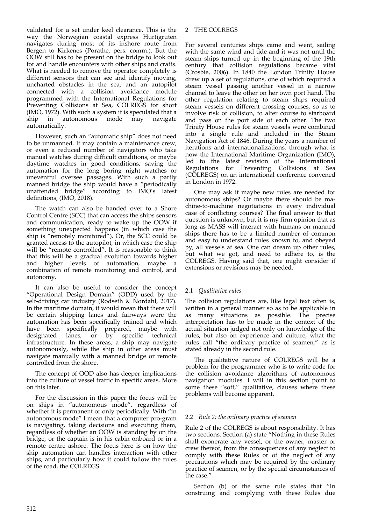validated for a set under keel clearance. This is the way the Norwegian coastal express Hurtigruten navigates during most of its inshore route from Bergen to Kirkenes (Porathe, pers. comm.). But the OOW still has to be present on the bridge to look out for and handle encounters with other ships and crafts. What is needed to remove the operator completely is different sensors that can see and identify moving, uncharted obstacles in the sea, and an autopilot connected with a collision avoidance module programmed with the International Regulations for Preventing Collisions at Sea, COLREGS for short (IMO, 1972). With such a system it is speculated that a ship in autonomous mode may navigate ship in autonomous mode may automatically.

However, such an "automatic ship" does not need to be unmanned. It may contain a maintenance crew, or even a reduced number of navigators who take manual watches during difficult conditions, or maybe daytime watches in good conditions, saving the automation for the long boring night watches or uneventful oversee passages. With such a partly manned bridge the ship would have a "periodically unattended bridge" according to IMO's latest definitions, (IMO, 2018).

The watch can also be handed over to a Shore Control Centre (SCC) that can access the ships sensors and communication, ready to wake up the OOW if something unexpected happens (in which case the ship is "remotely monitored"). Or, the SCC could be granted access to the autopilot, in which case the ship will be "remote controlled". It is reasonable to think that this will be a gradual evolution towards higher and higher levels of automation, maybe a combination of remote monitoring and control, and autonomy.

It can also be useful to consider the concept "Operational Design Domain" (ODD) used by the self-driving car industry (Rodseth & Nordahl, 2017). In the maritime domain, it would mean that there will be certain shipping lanes and fairways were the automation has been specifically trained and which have been specifically prepared, maybe with designated lanes, or by specific technical infrastructure. In these areas, a ship may navigate autonomously, while the ship in other areas must navigate manually with a manned bridge or remote controlled from the shore.

The concept of OOD also has deeper implications into the culture of vessel traffic in specific areas. More on this later.

For the discussion in this paper the focus will be on ships in "autonomous mode", regardless of whether it is permanent or only periodically. With "in autonomous mode" I mean that a computer pro‐gram is navigating, taking decisions and executing them, regardless of whether an OOW is standing by on the bridge, or the captain is in his cabin onboard or in a remote centre ashore. The focus here is on how the ship automation can handles interaction with other ships, and particularly how it could follow the rules of the road, the COLREGS.

# 2 THE COLREGS

For several centuries ships came and went, sailing with the same wind and tide and it was not until the steam ships turned up in the beginning of the 19th century that collision regulations became vital (Crosbie, 2006). In 1840 the London Trinity House drew up a set of regulations, one of which required a steam vessel passing another vessel in a narrow channel to leave the other on her own port hand. The other regulation relating to steam ships required steam vessels on different crossing courses, so as to involve risk of collision, to alter course to starboard and pass on the port side of each other. The two Trinity House rules for steam vessels were combined into a single rule and included in the Steam Navigation Act of 1846. During the years a number of iterations and internationalizations, through what is now the International Maritime Organization (IMO), led to the latest revision of the International Regulations for Preventing Collisions at Sea (COLREGS) on an international conference convened in London in 1972.

One may ask if maybe new rules are needed for autonomous ships? Or maybe there should be ma‐ chine‐to‐machine negotiations in every individual case of conflicting courses? The final answer to that question is unknown, but it is my firm opinion that as long as MASS will interact with humans on manned ships there has to be a limited number of common and easy to understand rules known to, and obeyed by, all vessels at sea. One can dream up other rules, but what we got, and need to adhere to, is the COLREGS. Having said that, one might consider if extensions or revisions may be needed.

# 2.1 *Qualitative rules*

The collision regulations are, like legal text often is, written in a general manner so as to be applicable in as many situations as possible. The precise interpretation has to be made in the context of the actual situation judged not only on knowledge of the rules, but also on experience and culture, what the rules call "the ordinary practice of seamen," as is stated already in the second rule.

The qualitative nature of COLREGS will be a problem for the programmer who is to write code for the collision avoidance algorithms of autonomous navigation modules. I will in this section point to some these "soft," qualitative, clauses where these problems will become apparent.

# 2.2 *Rule 2: the ordinary practice of seamen*

Rule 2 of the COLREGS is about responsibility. It has two sections. Section (a) state "Nothing in these Rules shall exonerate any vessel, or the owner, master or crew thereof, from the consequences of any neglect to comply with these Rules or of the neglect of any precautions which may be required by the ordinary practice of seamen, or by the special circumstances of the case."

Section (b) of the same rule states that "In construing and complying with these Rules due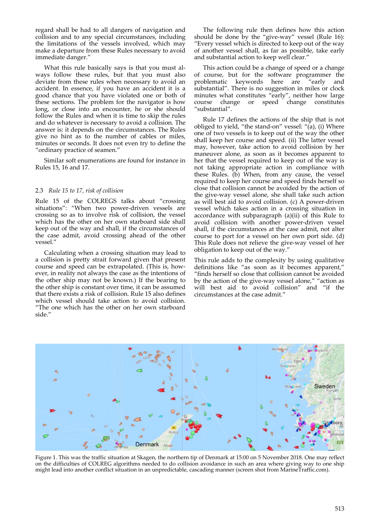regard shall be had to all dangers of navigation and collision and to any special circumstances, including the limitations of the vessels involved, which may make a departure from these Rules necessary to avoid immediate danger."

What this rule basically says is that you must al‐ ways follow these rules, but that you must also deviate from these rules when necessary to avoid an accident. In essence, if you have an accident it is a good chance that you have violated one or both of these sections. The problem for the navigator is how long, or close into an encounter, he or she should follow the Rules and when it is time to skip the rules and do whatever is necessary to avoid a collision. The answer is: it depends on the circumstances. The Rules give no hint as to the number of cables or miles, minutes or seconds. It does not even try to define the "ordinary practice of seamen."

Similar soft enumerations are found for instance in Rules 15, 16 and 17.

## 2.3 *Rule 15 to 17, risk of collision*

Rule 15 of the COLREGS talks about "crossing situations": "When two power-driven vessels are crossing so as to involve risk of collision, the vessel which has the other on her own starboard side shall keep out of the way and shall, if the circumstances of the case admit, avoid crossing ahead of the other vessel."

Calculating when a crossing situation may lead to a collision is pretty strait forward given that present course and speed can be extrapolated. (This is, how‐ ever, in reality not always the case as the intentions of the other ship may not be known.) If the bearing to the other ship is constant over time, it can be assumed that there exists a risk of collision. Rule 15 also defines which vessel should take action to avoid collision. "The one which has the other on her own starboard side."

The following rule then defines how this action should be done by the "give-way" vessel (Rule 16): "Every vessel which is directed to keep out of the way of another vessel shall, as far as possible, take early and substantial action to keep well clear."

This action could be a change of speed or a change of course, but for the software programmer the problematic keywords here are "early and keywords here are "early and substantial". There is no suggestion in miles or clock minutes what constitutes "early", neither how large course change or speed change constitutes "substantial".

Rule 17 defines the actions of the ship that is not obliged to yield, "the stand-on" vessel: " $(a)$ , (i) Where one of two vessels is to keep out of the way the other shall keep her course and speed. (ii) The latter vessel may, however, take action to avoid collision by her maneuver alone, as soon as it becomes apparent to her that the vessel required to keep out of the way is not taking appropriate action in compliance with these Rules. (b) When, from any cause, the vessel required to keep her course and speed finds herself so close that collision cannot be avoided by the action of the give‐way vessel alone, she shall take such action as will best aid to avoid collision. (c) A power-driven vessel which takes action in a crossing situation in accordance with subparagraph (a)(ii)  $\tilde{d}$  this Rule to avoid collision with another power‐driven vessel shall, if the circumstances at the case admit, not alter course to port for a vessel on her own port side. (d) This Rule does not relieve the give‐way vessel of her obligation to keep out of the way."

This rule adds to the complexity by using qualitative definitions like "as soon as it becomes apparent," "finds herself so close that collision cannot be avoided by the action of the give-way vessel alone," "action as will best aid to avoid collision" and "if the circumstances at the case admit."



Figure 1. This was the traffic situation at Skagen, the northern tip of Denmark at 15:00 on 5 November 2018. One may reflect on the difficulties of COLREG algorithms needed to do collision avoidance in such an area where giving way to one ship might lead into another conflict situation in an unpredictable, cascading manner (screen shot from MarineTraffic.com).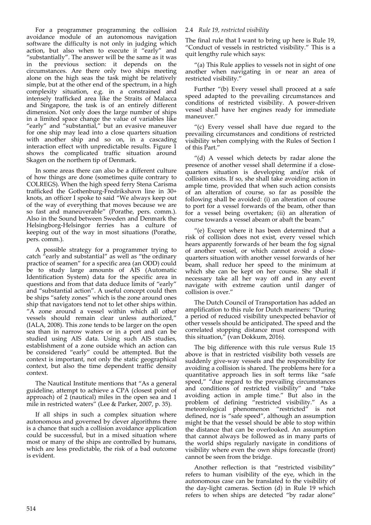For a programmer programming the collision avoidance module of an autonomous navigation software the difficulty is not only in judging which action, but also when to execute it "early" and "substantially". The answer will be the same as it was in the previous section: it depends on the circumstances. Are there only two ships meeting alone on the high seas the task might be relatively simple, but at the other end of the spectrum, in a high complexity situation, e.g. in a constrained and intensely trafficked area like the Straits of Malacca and Singapore, the task is of an entirely different dimension. Not only does the large number of ships in a limited space change the value of variables like "early" and "substantial," but an evasive maneuver for one ship may lead into a close quarters situation with another ship and so on, in a cascading interaction effect with unpredictable results. Figure  $\check{1}$ shows the complicated traffic situation around Skagen on the northern tip of Denmark.

In some areas there can also be a different culture of how things are done (sometimes quite contrary to COLREGS). When the high speed ferry Stena Carisma trafficked the Gothenburg‐Fredrikshavn line in 30+ knots, an officer I spoke to said "We always keep out of the way of everything that moves because we are so fast and maneuverable" (Porathe, pers. comm.). Also in the Sound between Sweden and Denmark the Helsingborg‐Helsingor ferries has a culture of keeping out of the way in most situations (Porathe, pers. comm.).

A possible strategy for a programmer trying to catch "early and substantial" as well as "the ordinary practice of seamen" for a specific area (an ODD) could be to study large amounts of AIS (Automatic Identification System) data for the specific area in questions and from that data deduce limits of "early" and "substantial action". A useful concept could then be ships "safety zones" which is the zone around ones ship that navigators tend not to let other ships within.  $A^{\dagger}$  zone around a vessel within which all other vessels should remain clear unless authorized," (IALA, 2008). This zone tends to be larger on the open sea than in narrow waters or in a port and can be studied using AIS data. Using such AIS studies, establishment of a zone outside which an action can be considered "early" could be attempted. But the context is important, not only the static geographical context, but also the time dependent traffic density context.

The Nautical Institute mentions that "As a general guideline, attempt to achieve a CPA (closest point of approach) of 2 (nautical) miles in the open sea and 1 mile in restricted waters" (Lee & Parker, 2007, p. 35).

If all ships in such a complex situation where autonomous and governed by clever algorithms there is a chance that such a collision avoidance application could be successful, but in a mixed situation where most or many of the ships are controlled by humans, which are less predictable, the risk of a bad outcome is evident.

## 2.4 *Rule 19, restricted visibility*

The final rule that I want to bring up here is Rule 19, "Conduct of vessels in restricted visibility." This is a quit lengthy rule which says:

"(a) This Rule applies to vessels not in sight of one another when navigating in or near an area of restricted visibility."

Further "(b) Every vessel shall proceed at a safe speed adapted to the prevailing circumstances and conditions of restricted visibility. A power‐driven vessel shall have her engines ready for immediate maneuver."

"(c) Every vessel shall have due regard to the prevailing circumstances and conditions of restricted visibility when complying with the Rules of Section I of this Part."

"(d) A vessel which detects by radar alone the presence of another vessel shall determine if a closequarters situation is developing and/or risk of collision exists. If so, she shall take avoiding action in ample time, provided that when such action consists of an alteration of course, so far as possible the following shall be avoided: (i) an alteration of course to port for a vessel forwards of the beam, other than for a vessel being overtaken; (ii) an alteration of course towards a vessel abeam or abaft the beam."

"(e) Except where it has been determined that a risk of collision does not exist, every vessel which hears apparently forwards of her beam the fog signal of another vessel, or which cannot avoid a close‐ quarters situation with another vessel forwards of her beam, shall reduce her speed to the minimum at which she can be kept on her course. She shall if necessary take all her way off and in any event navigate with extreme caution until danger of collision is over."

The Dutch Council of Transportation has added an amplification to this rule for Dutch mariners: "During a period of reduced visibility unexpected behavior of other vessels should be anticipated. The speed and the correlated stopping distance must correspond with this situation," (van Dokkum, 2016).

The big difference with this rule versus Rule 15 above is that in restricted visibility both vessels are suddenly give‐way vessels and the responsibility for avoiding a collision is shared. The problems here for a quantitative approach lies in soft terms like "safe speed," "due regard to the prevailing circumstances and conditions of restricted visibility" and "take avoiding action in ample time." But also in the problem of defining "restricted visibility." As a meteorological phenomenon "restricted" is not defined, nor is "safe speed", although an assumption might be that the vessel should be able to stop within the distance that can be overlooked. An assumption that cannot always be followed as in many parts of the world ships regularly navigate in conditions of visibility where even the own ships forecastle (front) cannot be seen from the bridge.

Another reflection is that "restricted visibility" refers to human visibility of the eye, which in the autonomous case can be translated to the visibility of the day‐light cameras. Section (d) in Rule 19 which refers to when ships are detected "by radar alone"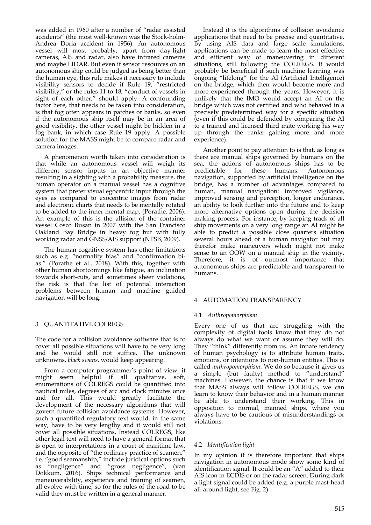was added in 1960 after a number of "radar assisted accidents" (the most well‐known was the Stock‐holm‐ Andrea Doria accident in 1956). An autonomous vessel will most probably, apart from day‐light cameras, AIS and radar, also have infrared cameras and maybe LIDAR. But even if sensor resources on an autonomous ship could be judged as being better than the human eye, this rule makes it necessary to include visibility sensors to decide if Rule 19, "restricted visibility," or the rules 11 to 18, "conduct of vessels in sight of each other," should apply. A confounding factor here, that needs to be taken into consideration, is that fog often appears in patches or banks, so even if the autonomous ship itself may be in an area of good visibility, the other vessel might be hidden in a fog bank, in which case Rule 19 apply. A possible solution for the MASS might be to compare radar and camera images.

A phenomenon worth taken into consideration is that while an autonomous vessel will weigh its different sensor inputs in an objective manner resulting in a sighting with a probability measure, the human operator on a manual vessel has a cognitive system that prefer visual egocentric input through the eyes as compared to exocentric images from radar and electronic charts that needs to be mentally rotated to be added to the inner mental map, (Porathe, 2006). An example of this is the allision of the container vessel Cosco Busan in 2007 with the San Francisco Oakland Bay Bridge in heavy fog but with fully working radar and GNSS/AIS support (NTSB, 2009).

The human cognitive system has other limitations such as e.g. "normality bias" and "confirmation bias." (Porathe et al., 2018). With this, together with other human shortcomings like fatigue, an inclination towards short‐cuts, and sometimes sheer violations, the risk is that the list of potential interaction problems between human and machine guided navigation will be long.

# 3 QUANTITATIVE COLREGS

The code for a collision avoidance software that is to cover all possible situations will have to be very long and he would still not suffice. The unknown unknowns, *black swans*, would keep appearing.

From a computer programmer's point of view, it might seem helpful if all qualitative, soft, enumerations of COLREGS could be quantified into nautical miles, degrees of arc and clock minutes once and for all. This would greatly facilitate the development of the necessary algorithms that will govern future collision avoidance systems. However, such a quantified regulatory text would, in the same way, have to be very lengthy and it would still not cover all possible situations. Instead COLREGS, like other legal text will need to have a general format that is open to interpretations in a court of maritime law, and the opposite of "the ordinary practice of seamen," i.e. "good seamanship," include juridical options such as "negligence" and "gross negligence", (van Dokkum, 2016). Ships technical performance and maneuverability, experience and training of seamen, all evolve with time, so for the rules of the road to be valid they must be written in a general manner.

Instead it is the algorithms of collision avoidance applications that need to be precise and quantitative. By using AIS data and large scale simulations, applications can be made to learn the most effective and efficient way of maneuvering in different situations, still following the COLREGS. It would probably be beneficial if such machine learning was ongoing "lifelong" for the AI (Artificial Intelligence) on the bridge, which then would become more and more experienced through the years. However, it is unlikely that the IMO would accept an AI on the bridge which was not certified and who behaved in a precisely predetermined way for a specific situation (even if this could be defended by comparing the AI to a trained and licensed third mate working his way up through the ranks gaining more and more experience).

Another point to pay attention to is that, as long as there are manual ships governed by humans on the sea, the actions of autonomous ships has to be predictable for these humans. Autonomous navigation, supported by artificial intelligence on the bridge, has a number of advantages compared to human, manual navigation: improved vigilance, improved sensing and perception, longer endurance, an ability to look further into the future and to keep more alternative options open during the decision making process. For instance, by keeping track of all ship movements on a very long range an AI might be able to predict a possible close quarters situation several hours ahead of a human navigator but may therefor make maneuvers which might not make sense to an OOW on a manual ship in the vicinity. Therefore, it is of outmost importance that autonomous ships are predictable and transparent to humans.

## 4 AUTOMATION TRANSPARENCY

## 4.1 *Anthropomorphism*

Every one of us that are struggling with the complexity of digital tools know that they do not always do what we want or assume they will do. They "think" differently from us. An innate tendency of human psychology is to attribute human traits, emotions, or intentions to non‐human entities. This is called *anthropomorphism*. We do so because it gives us a simple (but faulty) method to "understand" machines. However, the chance is that if we know that MASS always will follow COLREGS, we can learn to know their behavior and in a human manner be able to understand their working. This in opposition to normal, manned ships, where you always have to be cautious of misunderstandings or violations.

# 4.2 *Identification light*

In my opinion it is therefore important that ships navigation in autonomous mode show some kind of identification signal. It could be an "A" added to their AIS icon in ECDIS or on the radar screen. During dark a light signal could be added (e.g. a purple mast‐head all‐around light, see Fig. 2).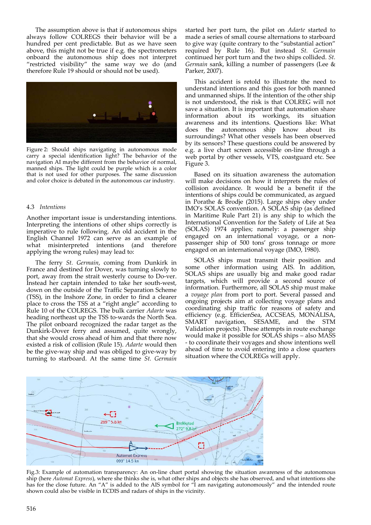The assumption above is that if autonomous ships always follow COLREGS their behavior will be a hundred per cent predictable. But as we have seen above, this might not be true if e.g. the spectrometers onboard the autonomous ship does not interpret "restricted visibility" the same way we do (and therefore Rule 19 should or should not be used).



Figure 2: Should ships navigating in autonomous mode carry a special identification light? The behavior of the navigation AI maybe different from the behavior of normal, manned ships. The light could be purple which is a color that is not used for other purposes. The same discussion and color choice is debated in the autonomous car industry.

## 4.3 *Intentions*

Another important issue is understanding intentions. Interpreting the intentions of other ships correctly is imperative to rule following. An old accident in the English Channel 1972 can serve as an example of what misinterpreted intentions (and therefore applying the wrong rules) may lead to:

The ferry *St. Germain*, coming from Dunkirk in France and destined for Dover, was turning slowly to port, away from the strait westerly course to Do‐ver. Instead her captain intended to take her south‐west, down on the outside of the Traffic Separation Scheme (TSS), in the Inshore Zone, in order to find a clearer place to cross the TSS at a "right angle" according to Rule 10 of the COLREGS. The bulk carrier *Adarte* was heading northeast up the TSS to‐wards the North Sea. The pilot onboard recognized the radar target as the Dunkirk‐Dover ferry and assumed, quite wrongly, that she would cross ahead of him and that there now existed a risk of collision (Rule 15). *Adarte* would then be the give‐way ship and was obliged to give‐way by turning to starboard. At the same time *St. Germain*

started her port turn, the pilot on *Adarte* started to made a series of small course alternations to starboard to give way (quite contrary to the "substantial action" required by Rule 16). But instead *St. Germain* continued her port turn and the two ships collided. *St. Germain* sank, killing a number of passengers (Lee & Parker, 2007).

This accident is retold to illustrate the need to understand intentions and this goes for both manned and unmanned ships. If the intention of the other ship is not understood, the risk is that COLREG will not save a situation. It is important that automation share information about its workings, its situation awareness and its intentions. Questions like: What does the autonomous ship know about its surroundings? What other vessels has been observed by its sensors? These questions could be answered by e.g. a live chart screen accessible on‐line through a web portal by other vessels, VTS, coastguard etc. See Figure 3.

Based on its situation awareness the automation will make decisions on how it interprets the rules of collision avoidance. It would be a benefit if the intentions of ships could be communicated, as argued in Porathe & Brodje (2015). Large ships obey under IMO's SOLAS convention. A SOLAS ship (as defined in Maritime Rule Part 21) is any ship to which the International Convention for the Safety of Life at Sea (SOLAS) 1974 applies; namely: a passenger ship engaged on an international voyage, or a nonpassenger ship of 500 tons' gross tonnage or more engaged on an international voyage (IMO, 1980).

SOLAS ships must transmit their position and some other information using AIS. In addition, SOLAS ships are usually big and make good radar targets, which will provide a second source of information. Furthermore, all SOLAS ship must make a *voyage plan* from port to port. Several passed and ongoing projects aim at collecting voyage plans and coordinating ship traffic for reasons of safety and efficiency (e.g. EfficienSea, ACCSEAS, MONALISA, SMART navigation, SESAME, and the STM Validation projects). These attempts in route exchange would make it possible for SOLAS ships – also MASS ‐ to coordinate their voyages and show intentions well ahead of time to avoid entering into a close quarters situation where the COLREGs will apply.



Fig.3: Example of automation transparency: An on-line chart portal showing the situation awareness of the autonomous ship (here *Automat Express*), where she thinks she is, what other ships and objects she has observed, and what intentions she has for the close future. An "A" is added to the AIS symbol for "I am navigating autonomously" and the intended route shown could also be visible in ECDIS and radars of ships in the vicinity.